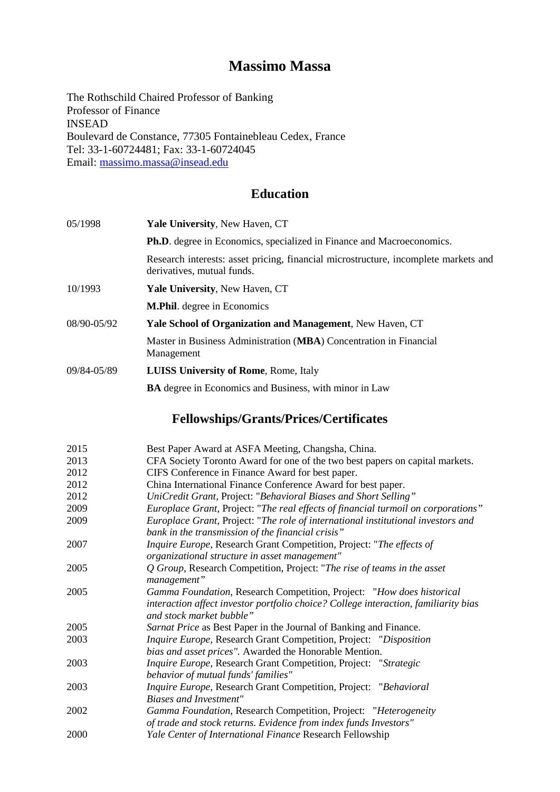## **Massimo Massa**

The Rothschild Chaired Professor of Banking Professor of Finance INSEAD Boulevard de Constance, 77305 Fontainebleau Cedex, France Tel: 33-1-60724481; Fax: 33-1-60724045 Email: [massimo.massa@insead.edu](mailto:massimo.massa@insead.edu)

## **Education**

| 05/1998     | Yale University, New Haven, CT                                                                                    |  |
|-------------|-------------------------------------------------------------------------------------------------------------------|--|
|             | <b>Ph.D.</b> degree in Economics, specialized in Finance and Macroeconomics.                                      |  |
|             | Research interests: asset pricing, financial microstructure, incomplete markets and<br>derivatives, mutual funds. |  |
| 10/1993     | <b>Yale University, New Haven, CT</b>                                                                             |  |
|             | <b>M.Phil.</b> degree in Economics                                                                                |  |
| 08/90-05/92 | Yale School of Organization and Management, New Haven, CT                                                         |  |
|             | Master in Business Administration (MBA) Concentration in Financial<br>Management                                  |  |
| 09/84-05/89 | <b>LUISS University of Rome, Rome, Italy</b>                                                                      |  |
|             | <b>BA</b> degree in Economics and Business, with minor in Law                                                     |  |

# **Fellowships/Grants/Prices/Certificates**

| Best Paper Award at ASFA Meeting, Changsha, China.                                  |  |  |
|-------------------------------------------------------------------------------------|--|--|
| CFA Society Toronto Award for one of the two best papers on capital markets.        |  |  |
| CIFS Conference in Finance Award for best paper.                                    |  |  |
| China International Finance Conference Award for best paper.                        |  |  |
| UniCredit Grant, Project: "Behavioral Biases and Short Selling"                     |  |  |
| Europlace Grant, Project: "The real effects of financial turmoil on corporations"   |  |  |
| Europlace Grant, Project: "The role of international institutional investors and    |  |  |
| bank in the transmission of the financial crisis"                                   |  |  |
| Inquire Europe, Research Grant Competition, Project: "The effects of                |  |  |
| organizational structure in asset management"                                       |  |  |
| Q Group, Research Competition, Project: "The rise of teams in the asset             |  |  |
| management"                                                                         |  |  |
| Gamma Foundation, Research Competition, Project: "How does historical               |  |  |
| interaction affect investor portfolio choice? College interaction, familiarity bias |  |  |
| and stock market bubble"                                                            |  |  |
| Sarnat Price as Best Paper in the Journal of Banking and Finance.                   |  |  |
| Inquire Europe, Research Grant Competition, Project: "Disposition                   |  |  |
| bias and asset prices". Awarded the Honorable Mention.                              |  |  |
| Inquire Europe, Research Grant Competition, Project: "Strategic                     |  |  |
| behavior of mutual funds' families"                                                 |  |  |
| Inquire Europe, Research Grant Competition, Project: "Behavioral                    |  |  |
| <b>Biases and Investment"</b>                                                       |  |  |
| Gamma Foundation, Research Competition, Project: "Heterogeneity                     |  |  |
| of trade and stock returns. Evidence from index funds Investors"                    |  |  |
| Yale Center of International Finance Research Fellowship                            |  |  |
|                                                                                     |  |  |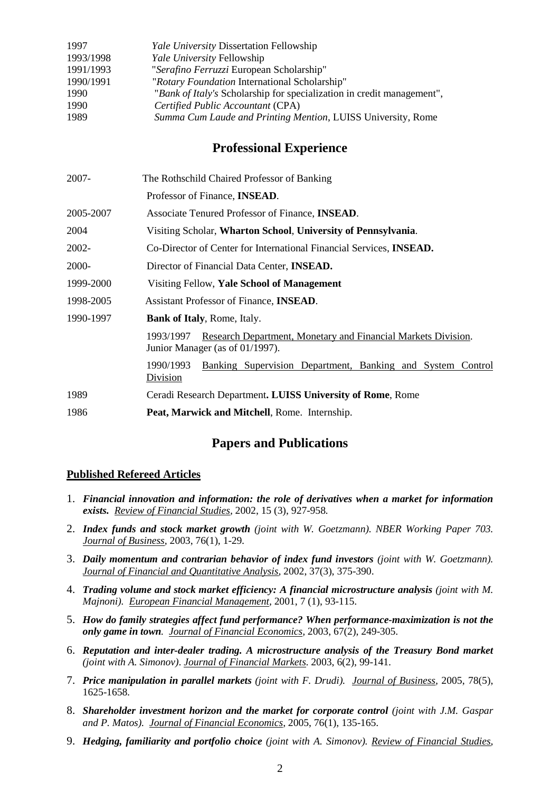| 1997      | <b>Yale University Dissertation Fellowship</b>                         |
|-----------|------------------------------------------------------------------------|
| 1993/1998 | Yale University Fellowship                                             |
| 1991/1993 | "Serafino Ferruzzi European Scholarship"                               |
| 1990/1991 | "Rotary Foundation International Scholarship"                          |
| 1990      | "Bank of Italy's Scholarship for specialization in credit management", |
| 1990      | Certified Public Accountant (CPA)                                      |
| 1989      | Summa Cum Laude and Printing Mention, LUISS University, Rome           |

### **Professional Experience**

| 2007-     | The Rothschild Chaired Professor of Banking                                                                   |  |  |
|-----------|---------------------------------------------------------------------------------------------------------------|--|--|
|           | Professor of Finance, <b>INSEAD</b> .                                                                         |  |  |
| 2005-2007 | Associate Tenured Professor of Finance, <b>INSEAD</b> .                                                       |  |  |
| 2004      | Visiting Scholar, Wharton School, University of Pennsylvania.                                                 |  |  |
| 2002-     | Co-Director of Center for International Financial Services, <b>INSEAD.</b>                                    |  |  |
| 2000-     | Director of Financial Data Center, <b>INSEAD.</b>                                                             |  |  |
| 1999-2000 | Visiting Fellow, Yale School of Management                                                                    |  |  |
| 1998-2005 | Assistant Professor of Finance, <b>INSEAD</b> .                                                               |  |  |
| 1990-1997 | <b>Bank of Italy, Rome, Italy.</b>                                                                            |  |  |
|           | Research Department, Monetary and Financial Markets Division.<br>1993/1997<br>Junior Manager (as of 01/1997). |  |  |
|           | 1990/1993<br>Banking Supervision Department, Banking and System Control<br>Division                           |  |  |
| 1989      | Ceradi Research Department. LUISS University of Rome, Rome                                                    |  |  |
| 1986      | Peat, Marwick and Mitchell, Rome. Internship.                                                                 |  |  |
|           |                                                                                                               |  |  |

### **Papers and Publications**

#### **Published Refereed Articles**

- 1. *Financial innovation and information: the role of derivatives when a market for information exists. Review of Financial Studies,* 2002, 15 (3), 927-958*.*
- 2. *Index funds and stock market growth (joint with W. Goetzmann). NBER Working Paper 703. Journal of Business,* 2003, 76(1), 1-29*.*
- 3. *Daily momentum and contrarian behavior of index fund investors (joint with W. Goetzmann). Journal of Financial and Quantitative Analysis,* 2002, 37(3), 375-390.
- 4. *Trading volume and stock market efficiency: A financial microstructure analysis (joint with M. Majnoni). European Financial Management,* 2001, 7 (1), 93-115.
- 5. *How do family strategies affect fund performance? When performance-maximization is not the only game in town. Journal of Financial Economics,* 2003, 67(2), 249-305.
- 6. *Reputation and inter-dealer trading. A microstructure analysis of the Treasury Bond market (joint with A. Simonov)*. *Journal of Financial Markets*. 2003, 6(2), 99-141.
- 7. *Price manipulation in parallel markets (joint with F. Drudi). Journal of Business,* 2005, 78(5), 1625-1658*.*
- 8. *Shareholder investment horizon and the market for corporate control (joint with J.M. Gaspar and P. Matos). Journal of Financial Economics,* 2005, 76(1), 135-165.
- 9. *[Hedging, familiarity and portfolio choice](http://faculty.insead.edu/massa/Research/cperpap5.pdf) (joint with A. Simonov). Review of Financial Studies,*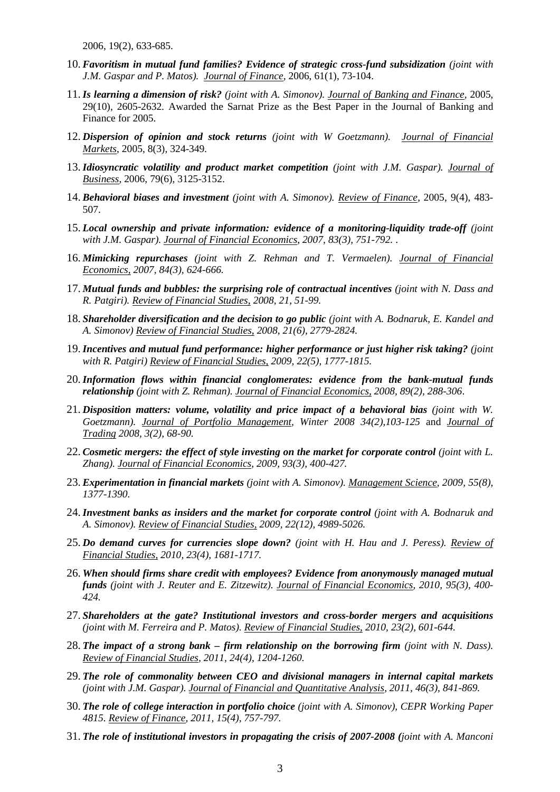2006, 19(2), 633-685.

- 10. *[Favoritism in mutual fund families? Evidence of strategic cross-fund subsidization](http://faculty.insead.edu/massa/Research/cperfavorit.pdf) (joint with J.M. Gaspar and P. Matos). Journal of Finance,* 2006, 61(1), 73-104.
- 11.*Is learning a dimension of risk? (joint with A. Simonov). Journal of Banking and Finance,* 2005, 29(10), 2605-2632*.* Awarded the Sarnat Prize as the Best Paper in the Journal of Banking and Finance for 2005.
- 12. *Dispersion of opinion and stock returns (joint with W Goetzmann). Journal of Financial Markets*, 2005, 8(3), 324-349*.*
- 13.*Idiosyncratic volatility and product market competition (joint with J.M. Gaspar). Journal of Business,* 2006, 79(6), 3125-3152.
- 14. *Behavioral biases and investment (joint with A. Simonov). Review of Finance,* 2005, 9(4), 483- 507.
- 15. *Local ownership and private information: evidence of a monitoring-liquidity trade-off (joint with J.M. Gaspar). Journal of Financial Economics, 2007, 83(3), 751-792.* .
- 16. *[Mimicking repurchases](http://faculty.insead.edu/massa/Research/cperpap9.pdf) (joint with Z. Rehman and T. Vermaelen). Journal of Financial Economics, 2007, 84(3), 624-666.*
- 17. *Mutual funds and bubbles: the surprising role of contractual incentives (joint with N. Dass and R. Patgiri). Review of Financial Studies, 2008, 21, 51-99.*
- 18. *Shareholder diversification and the decision to go public (joint with A. Bodnaruk, E. Kandel and A. Simonov) Review of Financial Studies, 2008, 21(6), 2779-2824.*
- 19.*Incentives and mutual fund performance: higher performance or just higher risk taking? (joint with R. Patgiri) Review of Financial Studies, 2009, 22(5), 1777-1815.*
- 20.*Information flows within financial conglomerates: evidence from the bank-mutual funds relationship (joint with Z. Rehman). Journal of Financial Economics, 2008, 89(2), 288-306*.
- 21. *Disposition matters: volume, volatility and price impact of a behavioral bias (joint with W. Goetzmann). Journal of Portfolio Management, Winter 2008 34(2),103-125* and *Journal of Trading 2008, 3(2), 68-90.*
- 22. *Cosmetic mergers: the effect of style investing on the market for corporate control (joint with L. Zhang). Journal of Financial Economics, 2009, 93(3), 400-427.*
- 23. *Experimentation in financial markets (joint with A. Simonov). Management Science, 2009, 55(8), 1377-1390.*
- 24.*Investment banks as insiders and the market for corporate control (joint with A. Bodnaruk and A. Simonov). Review of Financial Studies, 2009, 22(12), 4989-5026.*
- 25. *Do demand curves for currencies slope down? (joint with H. Hau and J. Peress). Review of Financial Studies, 2010, 23(4), 1681-1717.*
- 26. *[When should firms share credit with employees? Evidence from anonymously managed mutual](http://faculty.insead.edu/massa/Research/cperurs.pdf)  [funds](http://faculty.insead.edu/massa/Research/cperurs.pdf) (joint with J. Reuter and E. Zitzewitz). Journal of Financial Economics, 2010, 95(3), 400- 424.*
- 27. *Shareholders at the gate? Institutional investors and cross-border mergers and acquisitions (joint with M. Ferreira and P. Matos). Review of Financial Studies, 2010, 23(2), 601-644.*
- 28. *The impact of a strong bank – firm relationship on the borrowing firm (joint with N. Dass). Review of Financial Studies, 2011, 24(4), 1204-1260.*
- 29. *The role of commonality between CEO and divisional managers in internal capital markets (joint with J.M. Gaspar). Journal of Financial and Quantitative Analysis, 2011, 46(3), 841-869.*
- 30. *The role of college interaction in portfolio choice (joint with A. Simonov), CEPR Working Paper 4815. Review of Finance, 2011, 15(4), 757-797.*
- 31. *The role of institutional investors in propagating the crisis of 2007-2008 (joint with A. Manconi*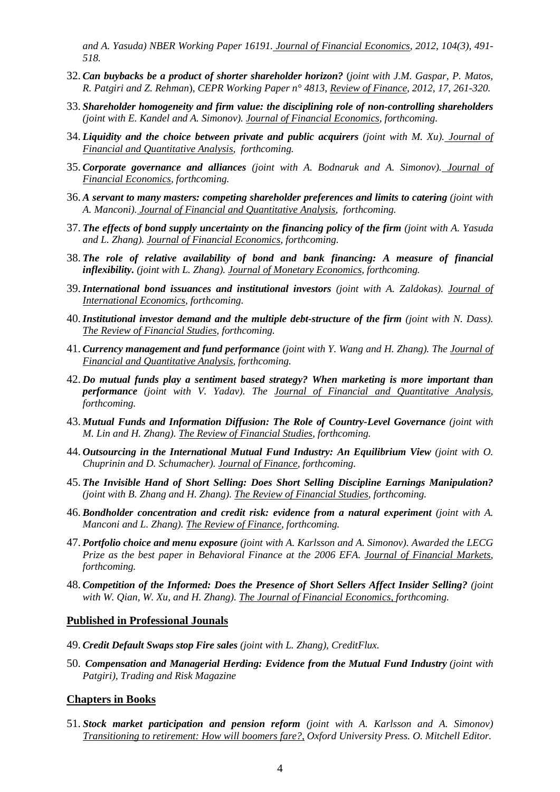*and A. Yasuda) NBER Working Paper 16191. Journal of Financial Economics, 2012, 104(3), 491- 518.*

- 32. *[Can buybacks be a product of shorter shareholder horizon?](http://faculty.insead.edu/massa/Research/cperrepurch5.pdf)* (*joint with J.M. Gaspar, P. Matos, R. Patgiri and Z. Rehman*), *CEPR Working Paper n° 4813*, *Review of Finance, 2012, 17, 261-320.*
- 33. *Shareholder homogeneity and firm value: the disciplining role of non-controlling shareholders (joint with E. Kandel and A. Simonov). Journal of Financial Economics, forthcoming.*
- 34. *Liquidity and the choice between private and public acquirers (joint with M. Xu). Journal of Financial and Quantitative Analysis, forthcoming.*
- 35. *Corporate governance and alliances (joint with A. Bodnaruk and A. Simonov). Journal of Financial Economics, forthcoming.*
- 36. *A servant to many masters: competing shareholder preferences and limits to catering (joint with A. Manconi). Journal of Financial and Quantitative Analysis, forthcoming.*
- 37. *The effects of bond supply uncertainty on the financing policy of the firm (joint with A. Yasuda and L. Zhang). Journal of Financial Economics, forthcoming.*
- 38. *The role of relative availability of bond and bank financing: A measure of financial inflexibility. (joint with L. Zhang). Journal of Monetary Economics, forthcoming.*
- 39.*International bond issuances and institutional investors (joint with A. Zaldokas). Journal of International Economics, forthcoming.*
- 40.*Institutional investor demand and the multiple debt-structure of the firm (joint with N. Dass). The Review of Financial Studies, forthcoming.*
- 41. *Currency management and fund performance (joint with Y. Wang and H. Zhang). The Journal of Financial and Quantitative Analysis, forthcoming.*
- 42. *Do mutual funds play a sentiment based strategy? When marketing is more important than performance (joint with V. Yadav). The Journal of Financial and Quantitative Analysis, forthcoming.*
- 43. *Mutual Funds and Information Diffusion: The Role of Country-Level Governance (joint with M. Lin and H. Zhang). The Review of Financial Studies, forthcoming.*
- 44. *Outsourcing in the International Mutual Fund Industry: An Equilibrium View (joint with O. Chuprinin and D. Schumacher). Journal of Finance, forthcoming.*
- 45. *The Invisible Hand of Short Selling: Does Short Selling Discipline Earnings Manipulation? (joint with B. Zhang and H. Zhang). The Review of Financial Studies, forthcoming.*
- 46. *Bondholder concentration and credit risk: evidence from a natural experiment (joint with A. Manconi and L. Zhang). The Review of Finance, forthcoming.*
- 47. *Portfolio choice and menu exposure (joint with A. Karlsson and A. Simonov). Awarded the LECG Prize as the best paper in Behavioral Finance at the 2006 EFA. Journal of Financial Markets, forthcoming.*
- 48. *Competition of the Informed: Does the Presence of Short Sellers Affect Insider Selling? (joint with W. Qian, W. Xu, and H. Zhang). The Journal of Financial Economics, forthcoming.*

#### **Published in Professional Jounals**

- 49. *Credit Default Swaps stop Fire sales (joint with L. Zhang), CreditFlux.*
- 50. *Compensation and Managerial Herding: Evidence from the Mutual Fund Industry (joint with Patgiri), Trading and Risk Magazine*

#### **Chapters in Books**

51. *Stock market participation and pension reform (joint with A. Karlsson and A. Simonov) Transitioning to retirement: How will boomers fare?, Oxford University Press. O. Mitchell Editor.*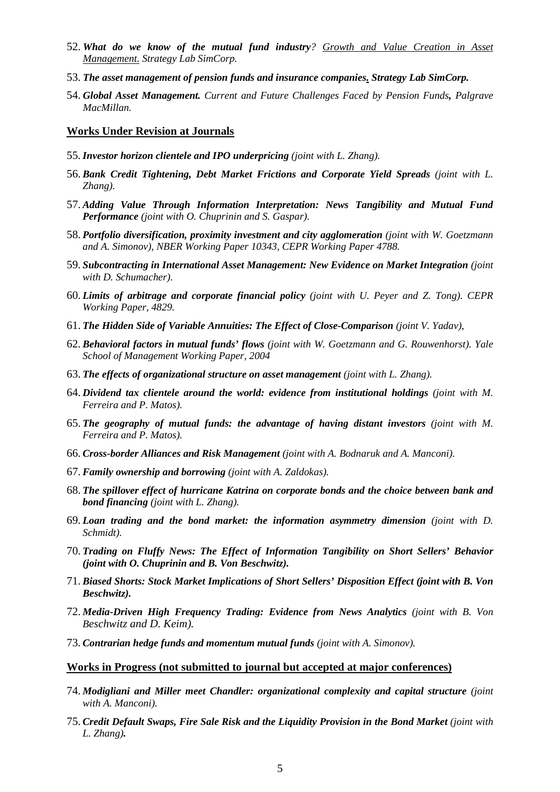- 52. *What do we know of the mutual fund industry? Growth and Value Creation in Asset Management. Strategy Lab SimCorp.*
- 53. *The asset management of pension funds and insurance companies. Strategy Lab SimCorp.*
- 54. *Global Asset Management. Current and Future Challenges Faced by Pension Funds, Palgrave MacMillan.*

#### **Works Under Revision at Journals**

- 55.*Investor horizon clientele and IPO underpricing (joint with L. Zhang).*
- 56. *Bank Credit Tightening, Debt Market Frictions and Corporate Yield Spreads (joint with L. Zhang).*
- 57. *Adding Value Through Information Interpretation: News Tangibility and Mutual Fund Performance (joint with O. Chuprinin and S. Gaspar).*
- 58. *Portfolio diversification, proximity investment and city agglomeration (joint with W. Goetzmann and A. Simonov), NBER Working Paper 10343, CEPR Working Paper 4788.*
- 59. *Subcontracting in International Asset Management: New Evidence on Market Integration (joint with D. Schumacher).*
- 60. *Limits of arbitrage [and corporate financial policy](http://faculty.insead.edu/massa/Research/cperurs.pdf) (joint with U. Peyer and Z. Tong). CEPR Working Paper, 4829.*
- 61. *The Hidden Side of Variable Annuities: The Effect of Close-Comparison (joint V. Yadav),*
- 62. *Behavioral factors in mutual funds' flows (joint with W. Goetzmann and G. Rouwenhorst). Yale School of Management Working Paper, 2004*
- 63. *The effects of organizational structure on asset management (joint with L. Zhang).*
- 64. *Dividend tax clientele around the world: evidence from institutional holdings (joint with M. Ferreira and P. Matos).*
- 65. *The geography of mutual funds: the advantage of having distant investors (joint with M. Ferreira and P. Matos).*
- 66. *Cross-border Alliances and Risk Management (joint with A. Bodnaruk and A. Manconi).*
- 67. *Family ownership and borrowing (joint with A. Zaldokas).*
- 68. *The spillover effect of hurricane Katrina on corporate bonds and the choice between bank and bond financing (joint with L. Zhang).*
- 69. *Loan trading and the bond market: the information asymmetry dimension (joint with D. Schmidt).*
- 70. *Trading on Fluffy News: The Effect of Information Tangibility on Short Sellers' Behavior (joint with O. Chuprinin and B. Von Beschwitz).*
- 71. *Biased Shorts: Stock Market Implications of Short Sellers' Disposition Effect (joint with B. Von Beschwitz).*
- 72. *Media-Driven High Frequency Trading: Evidence from News Analytics (joint with B. Von Beschwitz and D. Keim).*
- 73. *Contrarian hedge funds and momentum mutual funds (joint with A. Simonov).*

#### **Works in Progress (not submitted to journal but accepted at major conferences)**

- 74. *Modigliani and Miller meet Chandler: organizational complexity and capital structure (joint with A. Manconi).*
- 75. *Credit Default Swaps, Fire Sale Risk and the Liquidity Provision in the Bond Market (joint with L. Zhang).*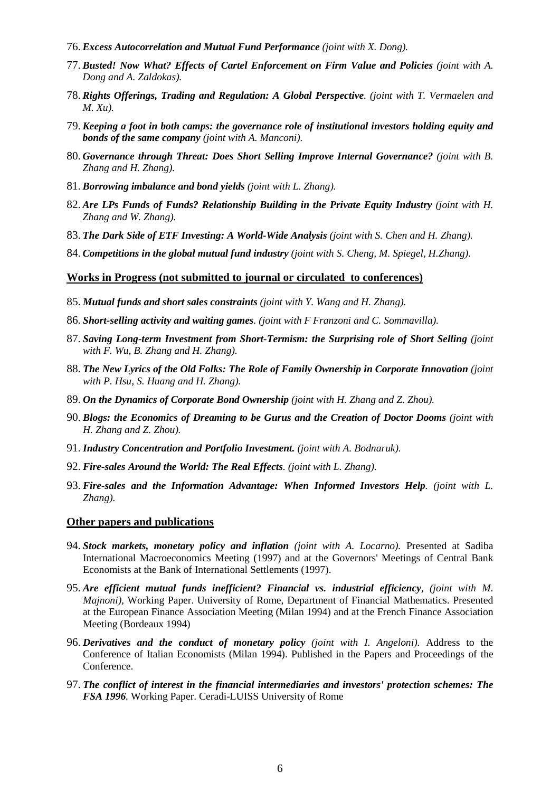- 76. *Excess Autocorrelation and Mutual Fund Performance (joint with X. Dong).*
- 77. *Busted! Now What? Effects of Cartel Enforcement on Firm Value and Policies (joint with A. Dong and A. Zaldokas).*
- 78. *Rights Offerings, Trading and Regulation: A Global Perspective. (joint with T. Vermaelen and M. Xu).*
- 79. *Keeping a foot in both camps: the governance role of institutional investors holding equity and bonds of the same company (joint with A. Manconi).*
- 80. *Governance through Threat: Does Short Selling Improve Internal Governance? (joint with B. Zhang and H. Zhang).*
- 81. *Borrowing imbalance and bond yields (joint with L. Zhang).*
- 82. *Are LPs Funds of Funds? Relationship Building in the Private Equity Industry (joint with H. Zhang and W. Zhang).*
- 83. *The Dark Side of ETF Investing: A World-Wide Analysis (joint with S. Chen and H. Zhang).*
- 84. *Competitions in the global mutual fund industry (joint with S. Cheng, M. Spiegel, H.Zhang).*

#### **Works in Progress (not submitted to journal or circulated to conferences)**

- 85. *Mutual funds and short sales constraints (joint with Y. Wang and H. Zhang).*
- 86. *Short-selling activity and waiting games. (joint with F Franzoni and C. Sommavilla).*
- 87. *Saving Long-term Investment from Short-Termism: the Surprising role of Short Selling (joint with F. Wu, B. Zhang and H. Zhang).*
- 88. The New Lyrics of the Old Folks: The Role of Family Ownership in Corporate Innovation (joint *with P. Hsu, S. Huang and H. Zhang).*
- 89. *On the Dynamics of Corporate Bond Ownership (joint with H. Zhang and Z. Zhou).*
- 90. *Blogs: the Economics of Dreaming to be Gurus and the Creation of Doctor Dooms (joint with H. Zhang and Z. Zhou).*
- 91. *Industry Concentration and Portfolio Investment. (joint with A. Bodnaruk).*
- 92. *Fire-sales Around the World: The Real Effects. (joint with L. Zhang).*
- 93. *Fire-sales and the Information Advantage: When Informed Investors Help. (joint with L. Zhang).*

#### **Other papers and publications**

- 94. *Stock markets, monetary policy and inflation (joint with A. Locarno).* Presented at Sadiba International Macroeconomics Meeting (1997) and at the Governors' Meetings of Central Bank Economists at the Bank of International Settlements (1997).
- 95. *Are efficient mutual funds inefficient? Financial vs. industrial efficiency, (joint with M. Majnoni),* Working Paper. University of Rome, Department of Financial Mathematics. Presented at the European Finance Association Meeting (Milan 1994) and at the French Finance Association Meeting (Bordeaux 1994)
- 96. *Derivatives and the conduct of monetary policy (joint with I. Angeloni).* Address to the Conference of Italian Economists (Milan 1994). Published in the Papers and Proceedings of the Conference.
- 97. *The conflict of interest in the financial intermediaries and investors' protection schemes: The FSA 1996.* Working Paper. Ceradi-LUISS University of Rome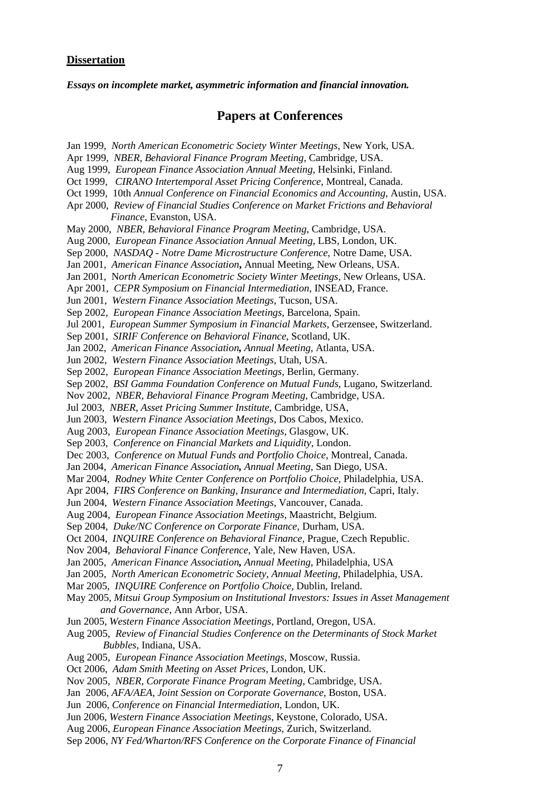#### **Dissertation**

*Essays on incomplete market, asymmetric information and financial innovation.*

#### **Papers at Conferences**

Jan 1999, *North American Econometric Society Winter Meetings*, New York, USA. Apr 1999, *NBER, Behavioral Finance Program Meeting*, Cambridge, USA. Aug 1999, *European Finance Association Annual Meeting*, Helsinki, Finland. Oct 1999, *CIRANO Intertemporal Asset Pricing Conference*, Montreal, Canada. Oct 1999, 10th *Annual Conference on Financial Economics and Accounting*, Austin, USA. Apr 2000, *Review of Financial Studies Conference on Market Frictions and Behavioral Finance*, Evanston, USA. May 2000, *NBER, Behavioral Finance Program Meeting*, Cambridge, USA. Aug 2000, *European Finance Association Annual Meeting*, LBS, London, UK. Sep 2000, *NASDAQ - Notre Dame Microstructure Conference*, Notre Dame, USA. Jan 2001, *American Finance Association***,** Annual Meeting, New Orleans, USA. Jan 2001, N*orth American Econometric Society Winter Meetings*, New Orleans, USA. Apr 2001, *CEPR Symposium on Financial Intermediation*, INSEAD, France. Jun 2001, *Western Finance Association Meetings*, Tucson, USA. Sep 2002, *European Finance Association Meetings*, Barcelona, Spain. Jul 2001, *European Summer Symposium in Financial Markets*, Gerzensee, Switzerland. Sep 2001, *SIRIF Conference on Behavioral Finance*, Scotland, UK. Jan 2002, *American Finance Association, Annual Meeting*, Atlanta, USA. Jun 2002, *Western Finance Association Meetings*, Utah, USA. Sep 2002, *European Finance Association Meetings*, Berlin, Germany. Sep 2002, *BSI Gamma Foundation Conference on Mutual Funds*, Lugano, Switzerland. Nov 2002, *NBER, Behavioral Finance Program Meeting*, Cambridge, USA. Jul 2003, *NBER, Asset Pricing Summer Institute*, Cambridge, USA, Jun 2003, *Western Finance Association Meetings*, Dos Cabos, Mexico. Aug 2003, *European Finance Association Meetings*, Glasgow, UK. Sep 2003, *Conference on Financial Markets and Liquidity*, London. Dec 2003, *Conference on Mutual Funds and Portfolio Choice*, Montreal, Canada. Jan 2004, *American Finance Association, Annual Meeting*, San Diego, USA. Mar 2004, *Rodney White Center Conference on Portfolio Choice*, Philadelphia, USA. Apr 2004, *FIRS Conference on Banking, Insurance and Intermediation*, Capri, Italy. Jun 2004, *Western Finance Association Meetings*, Vancouver, Canada. Aug 2004, *European Finance Association Meetings*, Maastricht, Belgium. Sep 2004, *Duke/NC Conference on Corporate Finance*, Durham, USA. Oct 2004, *INQUIRE Conference on Behavioral Finance,* Prague, Czech Republic. Nov 2004, *Behavioral Finance Conference,* Yale, New Haven, USA. Jan 2005, *American Finance Association, Annual Meeting*, Philadelphia, USA Jan 2005, *North American Econometric Society, Annual Meeting*, Philadelphia, USA. Mar 2005, *INQUIRE Conference on Portfolio Choice,* Dublin, Ireland. May 2005, *Mitsui Group Symposium on Institutional Investors: Issues in Asset Management and Governance*, Ann Arbor, USA. Jun 2005, *Western Finance Association Meetings*, Portland, Oregon, USA. Aug 2005, *Review of Financial Studies Conference on the Determinants of Stock Market Bubbles*, Indiana, USA. Aug 2005, *European Finance Association Meetings*, Moscow, Russia. Oct 2006, *Adam Smith Meeting on Asset Prices,* London, UK. Nov 2005, *NBER, Corporate Finance Program Meeting*, Cambridge, USA. Jan 2006, *AFA/AEA, Joint Session on Corporate Governance*, Boston, USA. Jun 2006, *Conference on Financial Intermediation*, London, UK. Jun 2006, *Western Finance Association Meetings*, Keystone, Colorado, USA. Aug 2006, *European Finance Association Meetings*, Zurich, Switzerland. Sep 2006, *NY Fed/Wharton/RFS Conference on the Corporate Finance of Financial*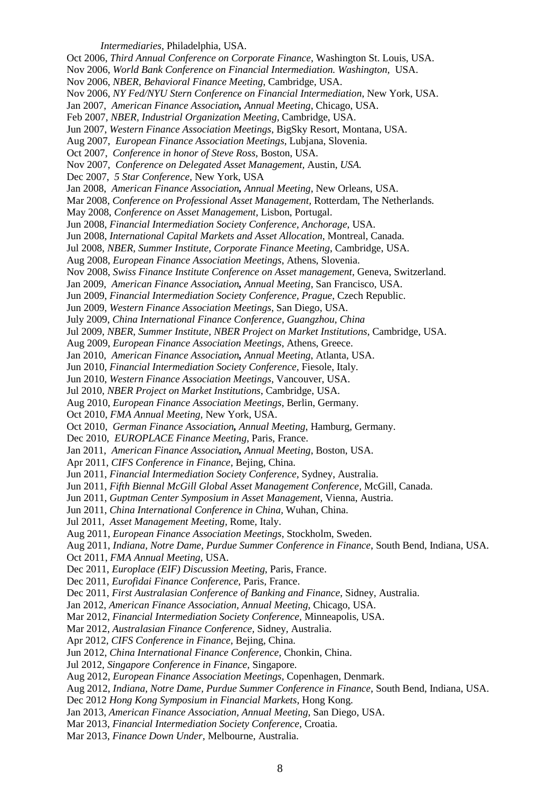Oct 2006, *Third Annual Conference on Corporate Finance*, Washington St. Louis, USA. Nov 2006, *World Bank Conference on Financial Intermediation. Washington,* USA. Nov 2006, *NBER, Behavioral Finance Meeting*, Cambridge, USA. Nov 2006, *NY Fed/NYU Stern Conference on Financial Intermediation*, New York, USA. Jan 2007, *American Finance Association, Annual Meeting*, Chicago, USA. Feb 2007, *NBER, Industrial Organization Meeting*, Cambridge, USA. Jun 2007, *Western Finance Association Meetings*, BigSky Resort, Montana, USA. Aug 2007, *European Finance Association Meetings*, Lubjana, Slovenia. Oct 2007, *Conference in honor of Steve Ross*, Boston, USA. Nov 2007, *Conference on Delegated Asset Management,* Austin, *USA.* Dec 2007, *5 Star Conference*, New York, USA Jan 2008, *American Finance Association, Annual Meeting*, New Orleans, USA. Mar 2008, *Conference on Professional Asset Management,* Rotterdam, The Netherlands. May 2008, *Conference on Asset Management,* Lisbon, Portugal. Jun 2008, *Financial Intermediation Society Conference, Anchorage*, USA. Jun 2008, *International Capital Markets and Asset Allocation*, Montreal, Canada. Jul 2008, *NBER, Summer Institute, Corporate Finance Meeting*, Cambridge, USA. Aug 2008, *European Finance Association Meetings*, Athens, Slovenia. Nov 2008, *Swiss Finance Institute Conference on Asset management,* Geneva, Switzerland. Jan 2009, *American Finance Association, Annual Meeting*, San Francisco, USA. Jun 2009, *Financial Intermediation Society Conference, Prague*, Czech Republic. Jun 2009, *Western Finance Association Meetings*, San Diego, USA. July 2009, *China International Finance Conference, Guangzhou, China* Jul 2009, *NBER, Summer Institute, NBER Project on Market Institutions*, Cambridge, USA. Aug 2009, *European Finance Association Meetings*, Athens, Greece. Jan 2010, *American Finance Association, Annual Meeting*, Atlanta, USA. Jun 2010, *Financial Intermediation Society Conference,* Fiesole, Italy. Jun 2010, *Western Finance Association Meetings*, Vancouver, USA. Jul 2010, *NBER Project on Market Institutions*, Cambridge, USA. Aug 2010, *European Finance Association Meetings*, Berlin, Germany. Oct 2010, *FMA Annual Meeting,* New York, USA. Oct 2010, *German Finance Association, Annual Meeting*, Hamburg, Germany. Dec 2010, *EUROPLACE Finance Meeting*, Paris, France. Jan 2011, *American Finance Association, Annual Meeting*, Boston, USA. Apr 2011, *CIFS Conference in Finance,* Bejing, China. Jun 2011, *Financial Intermediation Society Conference,* Sydney, Australia. Jun 2011, *Fifth Biennal McGill Global Asset Management Conference,* McGill, Canada. Jun 2011, *Guptman Center Symposium in Asset Management,* Vienna, Austria. Jun 2011, *China International Conference in China,* Wuhan, China. Jul 2011, *Asset Management Meeting,* Rome, Italy. Aug 2011, *European Finance Association Meetings*, Stockholm, Sweden. Aug 2011, *Indiana, Notre Dame, Purdue Summer Conference in Finance*, South Bend, Indiana, USA. Oct 2011, *FMA Annual Meeting,* USA. Dec 2011, *Europlace (EIF) Discussion Meeting*, Paris, France. Dec 2011, *Eurofidai Finance Conference*, Paris, France. Dec 2011, *First Australasian Conference of Banking and Finance*, Sidney, Australia. Jan 2012, *American Finance Association, Annual Meeting*, Chicago, USA. Mar 2012, *Financial Intermediation Society Conference,* Minneapolis*,* USA. Mar 2012, *Australasian Finance Conference,* Sidney*,* Australia. Apr 2012, *CIFS Conference in Finance,* Bejing, China. Jun 2012, *China International Finance Conference,* Chonkin, China. Jul 2012, *Singapore Conference in Finance,* Singapore. Aug 2012, *European Finance Association Meetings*, Copenhagen, Denmark. Aug 2012, *Indiana, Notre Dame, Purdue Summer Conference in Finance*, South Bend, Indiana, USA. Dec 2012 *Hong Kong Symposium in Financial Markets*, Hong Kong. Jan 2013, *American Finance Association, Annual Meeting*, San Diego, USA. Mar 2013, *Financial Intermediation Society Conference,* Croatia. Mar 2013, *Finance Down Under,* Melbourne, Australia.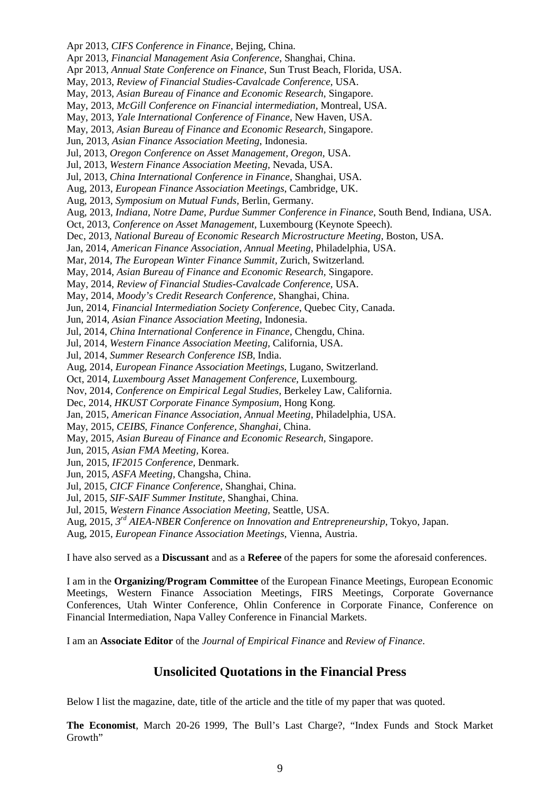Apr 2013, *CIFS Conference in Finance,* Bejing, China. Apr 2013, *Financial Management Asia Conference*, Shanghai, China. Apr 2013, *Annual State Conference on Finance*, Sun Trust Beach, Florida, USA. May, 2013, *Review of Financial Studies-Cavalcade Conference,* USA. May, 2013, *Asian Bureau of Finance and Economic Research*, Singapore. May, 2013, *McGill Conference on Financial intermediation,* Montreal, USA. May, 2013, *Yale International Conference of Finance,* New Haven, USA. May, 2013, *Asian Bureau of Finance and Economic Research,* Singapore. Jun, 2013, *Asian Finance Association Meeting*, Indonesia. Jul, 2013, *Oregon Conference on Asset Management, Oregon,* USA. Jul, 2013, *Western Finance Association Meeting,* Nevada, USA. Jul, 2013, *China International Conference in Finance,* Shanghai, USA. Aug, 2013, *European Finance Association Meetings*, Cambridge, UK. Aug, 2013, *Symposium on Mutual Funds,* Berlin, Germany. Aug, 2013, *Indiana, Notre Dame, Purdue Summer Conference in Finance*, South Bend, Indiana, USA. Oct, 2013, *Conference on Asset Management,* Luxembourg (Keynote Speech). Dec, 2013, *National Bureau of Economic Research Microstructure Meeting,* Boston, USA. Jan, 2014, *American Finance Association, Annual Meeting*, Philadelphia, USA. Mar, 2014, *The European Winter Finance Summit,* Zurich, Switzerland*.* May, 2014, *Asian Bureau of Finance and Economic Research,* Singapore. May, 2014, *Review of Financial Studies-Cavalcade Conference,* USA. May, 2014, *Moody's Credit Research Conference,* Shanghai*,* China. Jun, 2014, *Financial Intermediation Society Conference,* Quebec City, Canada. Jun, 2014, *Asian Finance Association Meeting*, Indonesia. Jul, 2014, *China International Conference in Finance,* Chengdu, China. Jul, 2014, *Western Finance Association Meeting,* California, USA. Jul, 2014, *Summer Research Conference ISB,* India. Aug, 2014, *European Finance Association Meetings*, Lugano, Switzerland. Oct, 2014, *Luxembourg Asset Management Conference,* Luxembourg. Nov, 2014, *Conference on Empirical Legal Studies,* Berkeley Law, California. Dec, 2014, *HKUST Corporate Finance Symposium,* Hong Kong. Jan, 2015, *American Finance Association, Annual Meeting*, Philadelphia, USA. May, 2015, *CEIBS, Finance Conference, Shanghai,* China. May, 2015, *Asian Bureau of Finance and Economic Research,* Singapore. Jun, 2015, *Asian FMA Meeting,* Korea. Jun, 2015, *IF2015 Conference,* Denmark. Jun, 2015, *ASFA Meeting,* Changsha, China. Jul, 2015, *CICF Finance Conference,* Shanghai, China. Jul, 2015, *SIF-SAIF Summer Institute,* Shanghai, China. Jul, 2015, *Western Finance Association Meeting,* Seattle, USA. Aug, 2015, *3rd AIEA-NBER Conference on Innovation and Entrepreneurship*, Tokyo, Japan. Aug, 2015, *European Finance Association Meetings*, Vienna, Austria.

I have also served as a **Discussant** and as a **Referee** of the papers for some the aforesaid conferences.

I am in the **Organizing/Program Committee** of the European Finance Meetings, European Economic Meetings, Western Finance Association Meetings, FIRS Meetings, Corporate Governance Conferences, Utah Winter Conference, Ohlin Conference in Corporate Finance, Conference on Financial Intermediation, Napa Valley Conference in Financial Markets.

I am an **Associate Editor** of the *Journal of Empirical Finance* and *Review of Finance*.

### **Unsolicited Quotations in the Financial Press**

Below I list the magazine, date, title of the article and the title of my paper that was quoted.

**The Economist**, March 20-26 1999, The Bull's Last Charge?, "Index Funds and Stock Market Growth"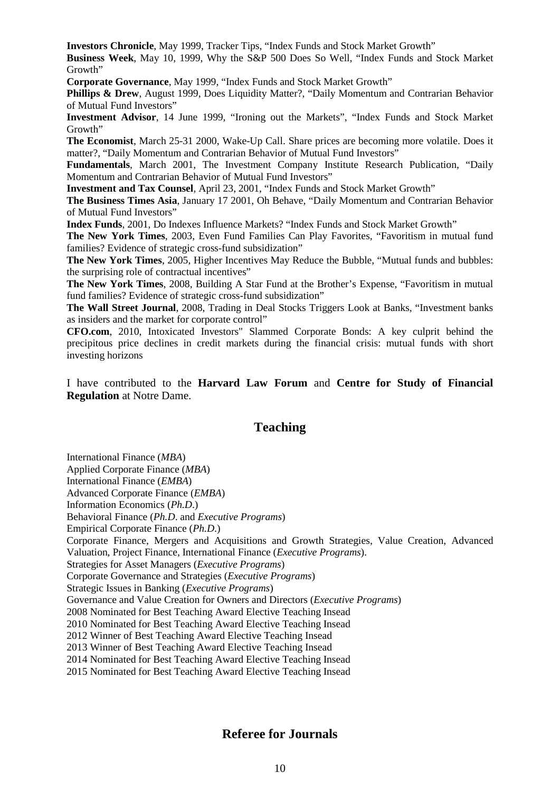**Investors Chronicle**, May 1999, Tracker Tips, "Index Funds and Stock Market Growth"

**Business Week**, May 10, 1999, Why the S&P 500 Does So Well, "Index Funds and Stock Market Growth"

**Corporate Governance**, May 1999, "Index Funds and Stock Market Growth"

**Phillips & Drew**, August 1999, Does Liquidity Matter?, "Daily Momentum and Contrarian Behavior of Mutual Fund Investors"

**Investment Advisor**, 14 June 1999, "Ironing out the Markets", "Index Funds and Stock Market Growth"

**The Economist**, March 25-31 2000, Wake-Up Call. Share prices are becoming more volatile. Does it matter?, "Daily Momentum and Contrarian Behavior of Mutual Fund Investors"

**Fundamentals**, March 2001, The Investment Company Institute Research Publication, "Daily Momentum and Contrarian Behavior of Mutual Fund Investors"

**Investment and Tax Counsel**, April 23, 2001, "Index Funds and Stock Market Growth"

**The Business Times Asia**, January 17 2001, Oh Behave, "Daily Momentum and Contrarian Behavior of Mutual Fund Investors"

**Index Funds**, 2001, Do Indexes Influence Markets? "Index Funds and Stock Market Growth"

**The New York Times**, 2003, Even Fund Families Can Play Favorites, ["Favoritism in mutual fund](http://faculty.insead.edu/massa/Research/cperfavorit.pdf)  [families? Evidence of strategic cross-fund subsidization"](http://faculty.insead.edu/massa/Research/cperfavorit.pdf)

**The New York Times**, 2005, Higher Incentives May Reduce the Bubble, "Mutual funds and bubbles: the surprising role of contractual incentives"

**The New York Times**, 2008, Building A Star Fund at the Brother's Expense, ["Favoritism in mutual](http://faculty.insead.edu/massa/Research/cperfavorit.pdf)  [fund families? Evidence of strategic cross-fund subsidization"](http://faculty.insead.edu/massa/Research/cperfavorit.pdf)

**The Wall Street Journal**, 2008, Trading in Deal Stocks Triggers Look at Banks, "Investment banks as insiders and the market for corporate control"

**CFO.com**, 2010, Intoxicated Investors" Slammed Corporate Bonds: A key culprit behind the precipitous price declines in credit markets during the financial crisis: mutual funds with short investing horizons

I have contributed to the **Harvard Law Forum** and **Centre for Study of Financial Regulation** at Notre Dame.

### **Teaching**

International Finance (*MBA*) Applied Corporate Finance (*MBA*)

International Finance (*EMBA*)

Advanced Corporate Finance (*EMBA*)

Information Economics (*Ph.D*.)

Behavioral Finance (*Ph.D*. and *Executive Programs*)

Empirical Corporate Finance (*Ph.D*.)

Corporate Finance, Mergers and Acquisitions and Growth Strategies, Value Creation, Advanced Valuation, Project Finance, International Finance (*Executive Programs*).

Strategies for Asset Managers (*Executive Programs*)

Corporate Governance and Strategies (*Executive Programs*)

Strategic Issues in Banking (*Executive Programs*)

Governance and Value Creation for Owners and Directors (*Executive Programs*)

2008 Nominated for Best Teaching Award Elective Teaching Insead

2010 Nominated for Best Teaching Award Elective Teaching Insead

2012 Winner of Best Teaching Award Elective Teaching Insead

2013 Winner of Best Teaching Award Elective Teaching Insead

2014 Nominated for Best Teaching Award Elective Teaching Insead

2015 Nominated for Best Teaching Award Elective Teaching Insead

### **Referee for Journals**